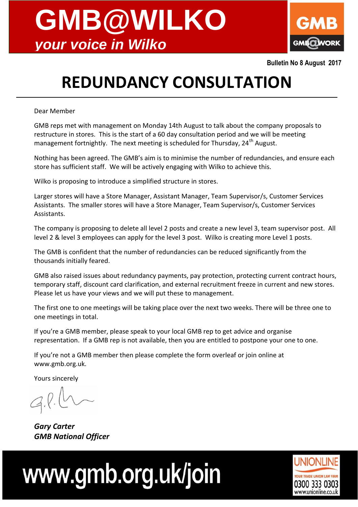



**Bulletin No 8 August 2017**

## **REDUNDANCY CONSULTATION**

Dear Member

GMB reps met with management on Monday 14th August to talk about the company proposals to restructure in stores. This is the start of a 60 day consultation period and we will be meeting management fortnightly. The next meeting is scheduled for Thursday, 24<sup>th</sup> August.

Nothing has been agreed. The GMB's aim is to minimise the number of redundancies, and ensure each store has sufficient staff. We will be actively engaging with Wilko to achieve this.

Wilko is proposing to introduce a simplified structure in stores.

Larger stores will have a Store Manager, Assistant Manager, Team Supervisor/s, Customer Services Assistants. The smaller stores will have a Store Manager, Team Supervisor/s, Customer Services Assistants.

The company is proposing to delete all level 2 posts and create a new level 3, team supervisor post. All level 2 & level 3 employees can apply for the level 3 post. Wilko is creating more Level 1 posts.

The GMB is confident that the number of redundancies can be reduced significantly from the thousands initially feared.

GMB also raised issues about redundancy payments, pay protection, protecting current contract hours, temporary staff, discount card clarification, and external recruitment freeze in current and new stores. Please let us have your views and we will put these to management.

The first one to one meetings will be taking place over the next two weeks. There will be three one to one meetings in total.

If you're a GMB member, please speak to your local GMB rep to get advice and organise representation. If a GMB rep is not available, then you are entitled to postpone your one to one.

If you're not a GMB member then please complete the form overleaf or join online at www.gmb.org.uk.

Yours sincerely

*Gary Carter GMB National Officer*

# www.gmb.org.uk/join